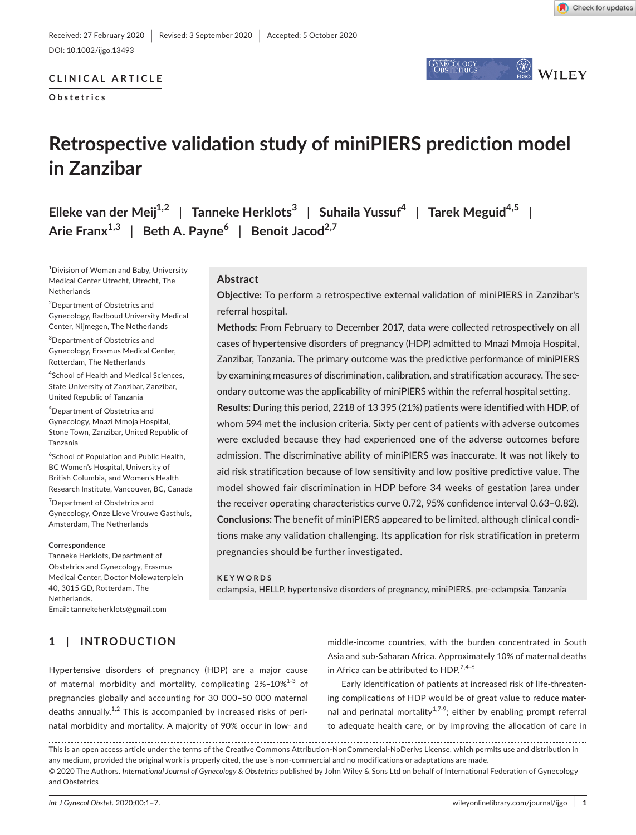DOI: 10.1002/ijgo.13493

## **CLINICAL ARTICLE**

**Obstetrics**



# **Retrospective validation study of miniPIERS prediction model in Zanzibar**

**Elleke van der Meij1,2** | **Tanneke Herklots<sup>3</sup>** | **Suhaila Yussuf4** | **Tarek Meguid4,5** | **Arie Franx1,3** | **Beth A. Payne<sup>6</sup>** | **Benoit Jacod2,7**

1 Division of Woman and Baby, University Medical Center Utrecht, Utrecht, The Netherlands

<sup>2</sup>Department of Obstetrics and Gynecology, Radboud University Medical Center, Nijmegen, The Netherlands

3 Department of Obstetrics and Gynecology, Erasmus Medical Center, Rotterdam, The Netherlands

4 School of Health and Medical Sciences, State University of Zanzibar, Zanzibar, United Republic of Tanzania

5 Department of Obstetrics and Gynecology, Mnazi Mmoja Hospital, Stone Town, Zanzibar, United Republic of Tanzania

6 School of Population and Public Health, BC Women's Hospital, University of British Columbia, and Women's Health Research Institute, Vancouver, BC, Canada

<sup>7</sup>Department of Obstetrics and Gynecology, Onze Lieve Vrouwe Gasthuis, Amsterdam, The Netherlands

#### **Correspondence**

Tanneke Herklots, Department of Obstetrics and Gynecology, Erasmus Medical Center, Doctor Molewaterplein 40, 3015 GD, Rotterdam, The Netherlands. Email: [tannekeherklots@gmail.com](mailto:tannekeherklots@gmail.com)

## **1**  | **INTRODUCTION**

## **Abstract**

**Objective:** To perform a retrospective external validation of miniPIERS in Zanzibar's referral hospital.

**Methods:** From February to December 2017, data were collected retrospectively on all cases of hypertensive disorders of pregnancy (HDP) admitted to Mnazi Mmoja Hospital, Zanzibar, Tanzania. The primary outcome was the predictive performance of miniPIERS by examining measures of discrimination, calibration, and stratification accuracy. The secondary outcome was the applicability of miniPIERS within the referral hospital setting.

**Results:** During this period, 2218 of 13 395 (21%) patients were identified with HDP, of whom 594 met the inclusion criteria. Sixty per cent of patients with adverse outcomes were excluded because they had experienced one of the adverse outcomes before admission. The discriminative ability of miniPIERS was inaccurate. It was not likely to aid risk stratification because of low sensitivity and low positive predictive value. The model showed fair discrimination in HDP before 34 weeks of gestation (area under the receiver operating characteristics curve 0.72, 95% confidence interval 0.63–0.82). **Conclusions:** The benefit of miniPIERS appeared to be limited, although clinical conditions make any validation challenging. Its application for risk stratification in preterm pregnancies should be further investigated.

#### **KEYWORDS**

eclampsia, HELLP, hypertensive disorders of pregnancy, miniPIERS, pre-eclampsia, Tanzania

Hypertensive disorders of pregnancy (HDP) are a major cause of maternal morbidity and mortality, complicating  $2\% - 10\%^{1-3}$  of pregnancies globally and accounting for 30 000–50 000 maternal deaths annually.<sup>1,2</sup> This is accompanied by increased risks of perinatal morbidity and mortality. A majority of 90% occur in low- and

middle-income countries, with the burden concentrated in South Asia and sub-Saharan Africa. Approximately 10% of maternal deaths in Africa can be attributed to HDP.<sup>2,4-6</sup>

Early identification of patients at increased risk of life-threatening complications of HDP would be of great value to reduce maternal and perinatal mortality<sup>1,7-9</sup>; either by enabling prompt referral to adequate health care, or by improving the allocation of care in

This is an open access article under the terms of the [Creative Commons Attribution-NonCommercial-NoDerivs](http://creativecommons.org/licenses/by-nc-nd/4.0/) License, which permits use and distribution in any medium, provided the original work is properly cited, the use is non-commercial and no modifications or adaptations are made. © 2020 The Authors. *International Journal of Gynecology & Obstetrics* published by John Wiley & Sons Ltd on behalf of International Federation of Gynecology and Obstetrics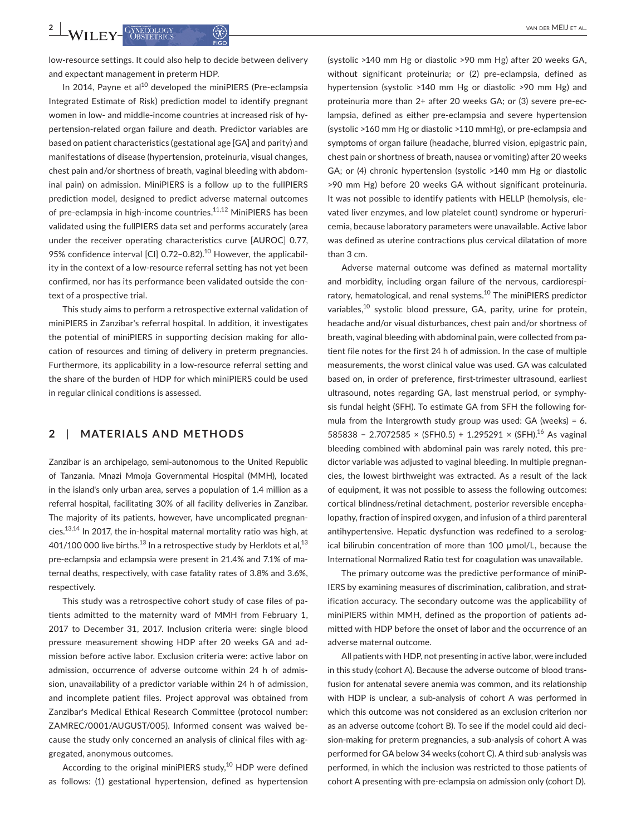**2 WII FV** CANECOLOGY **3 A CANECOLOGY 3 CANECOLOGY 3 CANECOLOGY 3 CANECOLOGY 3 CANECOLOGY 3 CANECOLOGY 3 CANECOLOGY 3 CANECOLOGY 3 CANECOLOGY 3 CANECOLOGY 3 CANECOLOGY 3 CA** 

low-resource settings. It could also help to decide between delivery and expectant management in preterm HDP.

In 2014, Payne et al $^{10}$  developed the miniPIERS (Pre-eclampsia Integrated Estimate of Risk) prediction model to identify pregnant women in low- and middle-income countries at increased risk of hypertension-related organ failure and death. Predictor variables are based on patient characteristics (gestational age [GA] and parity) and manifestations of disease (hypertension, proteinuria, visual changes, chest pain and/or shortness of breath, vaginal bleeding with abdominal pain) on admission. MiniPIERS is a follow up to the fullPIERS prediction model, designed to predict adverse maternal outcomes of pre-eclampsia in high-income countries.<sup>11,12</sup> MiniPIERS has been validated using the fullPIERS data set and performs accurately (area under the receiver operating characteristics curve [AUROC] 0.77, 95% confidence interval [CI] 0.72-0.82).<sup>10</sup> However, the applicability in the context of a low-resource referral setting has not yet been confirmed, nor has its performance been validated outside the context of a prospective trial.

This study aims to perform a retrospective external validation of miniPIERS in Zanzibar's referral hospital. In addition, it investigates the potential of miniPIERS in supporting decision making for allocation of resources and timing of delivery in preterm pregnancies. Furthermore, its applicability in a low-resource referral setting and the share of the burden of HDP for which miniPIERS could be used in regular clinical conditions is assessed.

## **2**  | **MATERIALS AND METHODS**

Zanzibar is an archipelago, semi-autonomous to the United Republic of Tanzania. Mnazi Mmoja Governmental Hospital (MMH), located in the island's only urban area, serves a population of 1.4 million as a referral hospital, facilitating 30% of all facility deliveries in Zanzibar. The majority of its patients, however, have uncomplicated pregnancies.<sup>13,14</sup> In 2017, the in-hospital maternal mortality ratio was high, at 401/100 000 live births.<sup>13</sup> In a retrospective study by Herklots et al,<sup>13</sup> pre-eclampsia and eclampsia were present in 21.4% and 7.1% of maternal deaths, respectively, with case fatality rates of 3.8% and 3.6%, respectively.

This study was a retrospective cohort study of case files of patients admitted to the maternity ward of MMH from February 1, 2017 to December 31, 2017. Inclusion criteria were: single blood pressure measurement showing HDP after 20 weeks GA and admission before active labor. Exclusion criteria were: active labor on admission, occurrence of adverse outcome within 24 h of admission, unavailability of a predictor variable within 24 h of admission, and incomplete patient files. Project approval was obtained from Zanzibar's Medical Ethical Research Committee (protocol number: ZAMREC/0001/AUGUST/005). Informed consent was waived because the study only concerned an analysis of clinical files with aggregated, anonymous outcomes.

According to the original miniPIERS study, $10$  HDP were defined as follows: (1) gestational hypertension, defined as hypertension

(systolic >140 mm Hg or diastolic >90 mm Hg) after 20 weeks GA, without significant proteinuria; or (2) pre-eclampsia, defined as hypertension (systolic >140 mm Hg or diastolic >90 mm Hg) and proteinuria more than 2+ after 20 weeks GA; or (3) severe pre-eclampsia, defined as either pre-eclampsia and severe hypertension (systolic >160 mm Hg or diastolic >110 mmHg), or pre-eclampsia and symptoms of organ failure (headache, blurred vision, epigastric pain, chest pain or shortness of breath, nausea or vomiting) after 20 weeks GA; or (4) chronic hypertension (systolic >140 mm Hg or diastolic >90 mm Hg) before 20 weeks GA without significant proteinuria. It was not possible to identify patients with HELLP (hemolysis, elevated liver enzymes, and low platelet count) syndrome or hyperuricemia, because laboratory parameters were unavailable. Active labor was defined as uterine contractions plus cervical dilatation of more than 3 cm.

Adverse maternal outcome was defined as maternal mortality and morbidity, including organ failure of the nervous, cardiorespiratory, hematological, and renal systems.<sup>10</sup> The miniPIERS predictor variables,<sup>10</sup> systolic blood pressure, GA, parity, urine for protein, headache and/or visual disturbances, chest pain and/or shortness of breath, vaginal bleeding with abdominal pain, were collected from patient file notes for the first 24 h of admission. In the case of multiple measurements, the worst clinical value was used. GA was calculated based on, in order of preference, first-trimester ultrasound, earliest ultrasound, notes regarding GA, last menstrual period, or symphysis fundal height (SFH). To estimate GA from SFH the following formula from the Intergrowth study group was used: GA (weeks) = 6. 585838 − 2.7072585 × (SFH0.5) + 1.295291 × (SFH).<sup>16</sup> As vaginal bleeding combined with abdominal pain was rarely noted, this predictor variable was adjusted to vaginal bleeding. In multiple pregnancies, the lowest birthweight was extracted. As a result of the lack of equipment, it was not possible to assess the following outcomes: cortical blindness/retinal detachment, posterior reversible encephalopathy, fraction of inspired oxygen, and infusion of a third parenteral antihypertensive. Hepatic dysfunction was redefined to a serological bilirubin concentration of more than 100 µmol/L, because the International Normalized Ratio test for coagulation was unavailable.

The primary outcome was the predictive performance of miniP-IERS by examining measures of discrimination, calibration, and stratification accuracy. The secondary outcome was the applicability of miniPIERS within MMH, defined as the proportion of patients admitted with HDP before the onset of labor and the occurrence of an adverse maternal outcome.

All patients with HDP, not presenting in active labor, were included in this study (cohort A). Because the adverse outcome of blood transfusion for antenatal severe anemia was common, and its relationship with HDP is unclear, a sub-analysis of cohort A was performed in which this outcome was not considered as an exclusion criterion nor as an adverse outcome (cohort B). To see if the model could aid decision-making for preterm pregnancies, a sub-analysis of cohort A was performed for GA below 34 weeks (cohort C). A third sub-analysis was performed, in which the inclusion was restricted to those patients of cohort A presenting with pre-eclampsia on admission only (cohort D).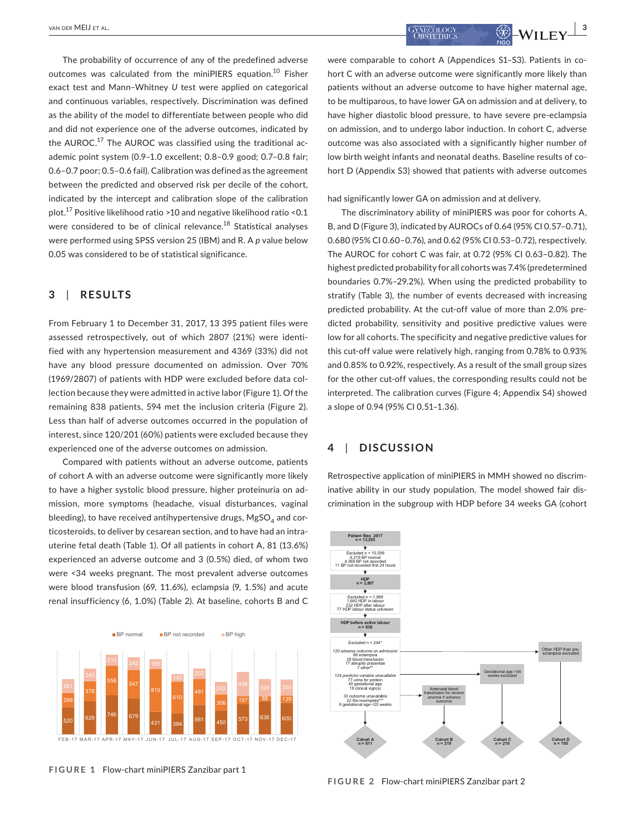The probability of occurrence of any of the predefined adverse outcomes was calculated from the miniPIERS equation.<sup>10</sup> Fisher exact test and Mann–Whitney *U* test were applied on categorical and continuous variables, respectively. Discrimination was defined as the ability of the model to differentiate between people who did and did not experience one of the adverse outcomes, indicated by the  $AUROC.<sup>17</sup>$  The  $AUROC$  was classified using the traditional academic point system (0.9–1.0 excellent; 0.8–0.9 good; 0.7–0.8 fair; 0.6–0.7 poor; 0.5–0.6 fail). Calibration was defined as the agreement between the predicted and observed risk per decile of the cohort, indicated by the intercept and calibration slope of the calibration plot.<sup>17</sup> Positive likelihood ratio >10 and negative likelihood ratio <0.1 were considered to be of clinical relevance.<sup>18</sup> Statistical analyses were performed using SPSS version 25 (IBM) and R. A *p* value below 0.05 was considered to be of statistical significance.

## **3**  | **RESULTS**

From February 1 to December 31, 2017, 13 395 patient files were assessed retrospectively, out of which 2807 (21%) were identified with any hypertension measurement and 4369 (33%) did not have any blood pressure documented on admission. Over 70% (1969/2807) of patients with HDP were excluded before data collection because they were admitted in active labor (Figure 1). Of the remaining 838 patients, 594 met the inclusion criteria (Figure 2). Less than half of adverse outcomes occurred in the population of interest, since 120/201 (60%) patients were excluded because they experienced one of the adverse outcomes on admission.

Compared with patients without an adverse outcome, patients of cohort A with an adverse outcome were significantly more likely to have a higher systolic blood pressure, higher proteinuria on admission, more symptoms (headache, visual disturbances, vaginal bleeding), to have received antihypertensive drugs,  $MgSO<sub>4</sub>$  and corticosteroids, to deliver by cesarean section, and to have had an intrauterine fetal death (Table 1). Of all patients in cohort A, 81 (13.6%) experienced an adverse outcome and 3 (0.5%) died, of whom two were <34 weeks pregnant. The most prevalent adverse outcomes were blood transfusion (69, 11.6%), eclampsia (9, 1.5%) and acute renal insufficiency (6, 1.0%) (Table 2). At baseline, cohorts B and C



**FIGURE 1** Flow-chart miniPIERS Zanzibar part 1

 van der MEIJ et al. **<sup>|</sup> 3**

were comparable to cohort A (Appendices S1–S3). Patients in cohort C with an adverse outcome were significantly more likely than patients without an adverse outcome to have higher maternal age, to be multiparous, to have lower GA on admission and at delivery, to have higher diastolic blood pressure, to have severe pre-eclampsia on admission, and to undergo labor induction. In cohort C, adverse outcome was also associated with a significantly higher number of low birth weight infants and neonatal deaths. Baseline results of cohort D (Appendix S3) showed that patients with adverse outcomes

had significantly lower GA on admission and at delivery.

The discriminatory ability of miniPIERS was poor for cohorts A, B, and D (Figure 3), indicated by AUROCs of 0.64 (95% CI 0.57–0.71), 0.680 (95% CI 0.60–0.76), and 0.62 (95% CI 0.53–0.72), respectively. The AUROC for cohort C was fair, at 0.72 (95% CI 0.63–0.82). The highest predicted probability for all cohorts was 7.4% (predetermined boundaries 0.7%–29.2%). When using the predicted probability to stratify (Table 3), the number of events decreased with increasing predicted probability. At the cut-off value of more than 2.0% predicted probability, sensitivity and positive predictive values were low for all cohorts. The specificity and negative predictive values for this cut-off value were relatively high, ranging from 0.78% to 0.93% and 0.85% to 0.92%, respectively. As a result of the small group sizes for the other cut-off values, the corresponding results could not be interpreted. The calibration curves (Figure 4; Appendix S4) showed a slope of 0.94 (95% CI 0.51–1.36).

## **4**  | **DISCUSSION**

Retrospective application of miniPIERS in MMH showed no discriminative ability in our study population. The model showed fair discrimination in the subgroup with HDP before 34 weeks GA (cohort



**FIGURE 2** Flow-chart miniPIERS Zanzibar part 2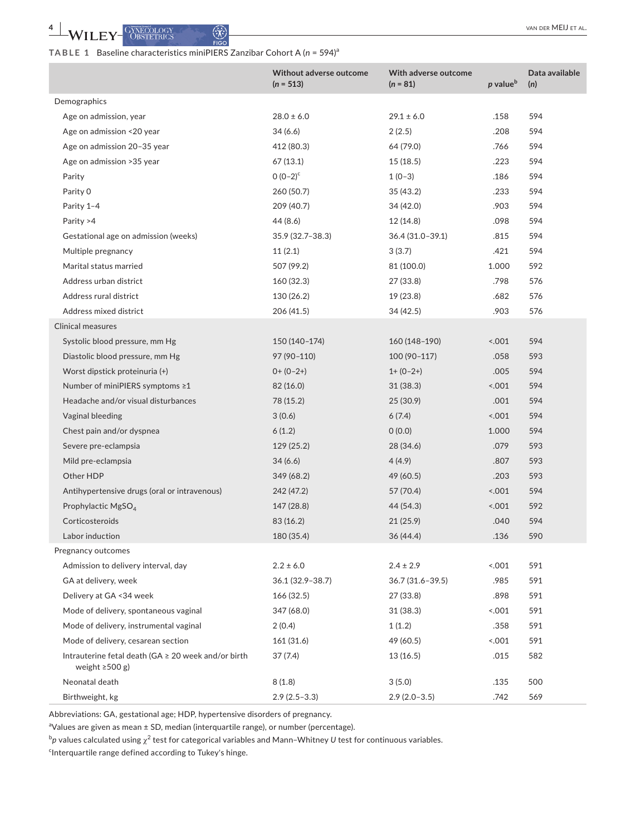## **TABLE 1** Baseline characteristics miniPIERS Zanzibar Cohort A (*n* = 594)<sup>a</sup>

|                                                                             | <b>Without adverse outcome</b><br>$(n = 513)$ | With adverse outcome<br>$(n = 81)$ | p value <sup>b</sup> | Data available<br>(n) |
|-----------------------------------------------------------------------------|-----------------------------------------------|------------------------------------|----------------------|-----------------------|
| Demographics                                                                |                                               |                                    |                      |                       |
| Age on admission, year                                                      | $28.0 \pm 6.0$                                | $29.1 \pm 6.0$                     | .158                 | 594                   |
| Age on admission <20 year                                                   | 34 (6.6)                                      | 2(2.5)                             | .208                 | 594                   |
| Age on admission 20-35 year                                                 | 412 (80.3)                                    | 64 (79.0)                          | .766                 | 594                   |
| Age on admission > 35 year                                                  | 67(13.1)                                      | 15(18.5)                           | .223                 | 594                   |
| Parity                                                                      | $0(0-2)^{c}$                                  | $1(0-3)$                           | .186                 | 594                   |
| Parity 0                                                                    | 260 (50.7)                                    | 35 (43.2)                          | .233                 | 594                   |
| Parity 1-4                                                                  | 209 (40.7)                                    | 34 (42.0)                          | .903                 | 594                   |
| Parity >4                                                                   | 44 (8.6)                                      | 12 (14.8)                          | .098                 | 594                   |
| Gestational age on admission (weeks)                                        | 35.9 (32.7-38.3)                              | 36.4 (31.0-39.1)                   | .815                 | 594                   |
| Multiple pregnancy                                                          | 11(2.1)                                       | 3(3.7)                             | .421                 | 594                   |
| Marital status married                                                      | 507 (99.2)                                    | 81 (100.0)                         | 1.000                | 592                   |
| Address urban district                                                      | 160 (32.3)                                    | 27 (33.8)                          | .798                 | 576                   |
| Address rural district                                                      | 130 (26.2)                                    | 19 (23.8)                          | .682                 | 576                   |
| Address mixed district                                                      | 206 (41.5)                                    | 34 (42.5)                          | .903                 | 576                   |
| <b>Clinical measures</b>                                                    |                                               |                                    |                      |                       |
| Systolic blood pressure, mm Hg                                              | 150 (140-174)                                 | 160 (148-190)                      | 0.001                | 594                   |
| Diastolic blood pressure, mm Hg                                             | 97 (90-110)                                   | 100 (90-117)                       | .058                 | 593                   |
| Worst dipstick proteinuria (+)                                              | $0+ (0-2+)$                                   | $1+ (0-2+)$                        | .005                 | 594                   |
| Number of miniPIERS symptoms ≥1                                             | 82 (16.0)                                     | 31(38.3)                           | 0.001                | 594                   |
| Headache and/or visual disturbances                                         | 78 (15.2)                                     | 25(30.9)                           | .001                 | 594                   |
| Vaginal bleeding                                                            | 3(0.6)                                        | 6(7.4)                             | 0.001                | 594                   |
| Chest pain and/or dyspnea                                                   | 6(1.2)                                        | 0(0.0)                             | 1.000                | 594                   |
| Severe pre-eclampsia                                                        | 129 (25.2)                                    | 28 (34.6)                          | .079                 | 593                   |
| Mild pre-eclampsia                                                          | 34(6.6)                                       | 4(4.9)                             | .807                 | 593                   |
| Other HDP                                                                   | 349 (68.2)                                    | 49 (60.5)                          | .203                 | 593                   |
| Antihypertensive drugs (oral or intravenous)                                | 242 (47.2)                                    | 57 (70.4)                          | 001                  | 594                   |
| Prophylactic MgSO <sub>4</sub>                                              | 147 (28.8)                                    | 44 (54.3)                          | 5001                 | 592                   |
| Corticosteroids                                                             | 83 (16.2)                                     | 21(25.9)                           | .040                 | 594                   |
| Labor induction                                                             | 180 (35.4)                                    | 36 (44.4)                          | .136                 | 590                   |
| Pregnancy outcomes                                                          |                                               |                                    |                      |                       |
| Admission to delivery interval, day                                         | $2.2 \pm 6.0$                                 | $2.4 \pm 2.9$                      | 0.001                | 591                   |
| GA at delivery, week                                                        | 36.1 (32.9-38.7)                              | 36.7 (31.6-39.5)                   | .985                 | 591                   |
| Delivery at GA < 34 week                                                    | 166(32.5)                                     | 27 (33.8)                          | .898                 | 591                   |
| Mode of delivery, spontaneous vaginal                                       | 347 (68.0)                                    | 31 (38.3)                          | 0.001                | 591                   |
| Mode of delivery, instrumental vaginal                                      | 2(0.4)                                        | 1(1.2)                             | .358                 | 591                   |
| Mode of delivery, cesarean section                                          | 161 (31.6)                                    | 49 (60.5)                          | 0.001                | 591                   |
| Intrauterine fetal death (GA ≥ 20 week and/or birth<br>weight $\geq$ 500 g) | 37(7.4)                                       | 13 (16.5)                          | .015                 | 582                   |
| Neonatal death                                                              | 8(1.8)                                        | 3(5.0)                             | .135                 | 500                   |
| Birthweight, kg                                                             | $2.9(2.5-3.3)$                                | $2.9(2.0-3.5)$                     | .742                 | 569                   |

Abbreviations: GA, gestational age; HDP, hypertensive disorders of pregnancy.

<sup>a</sup>Values are given as mean ± SD, median (interquartile range), or number (percentage).

 $^b$ p values calculated using  $\chi^2$  test for categorical variables and Mann–Whitney *U* test for continuous variables.

<sup>c</sup>Interquartile range defined according to Tukey's hinge.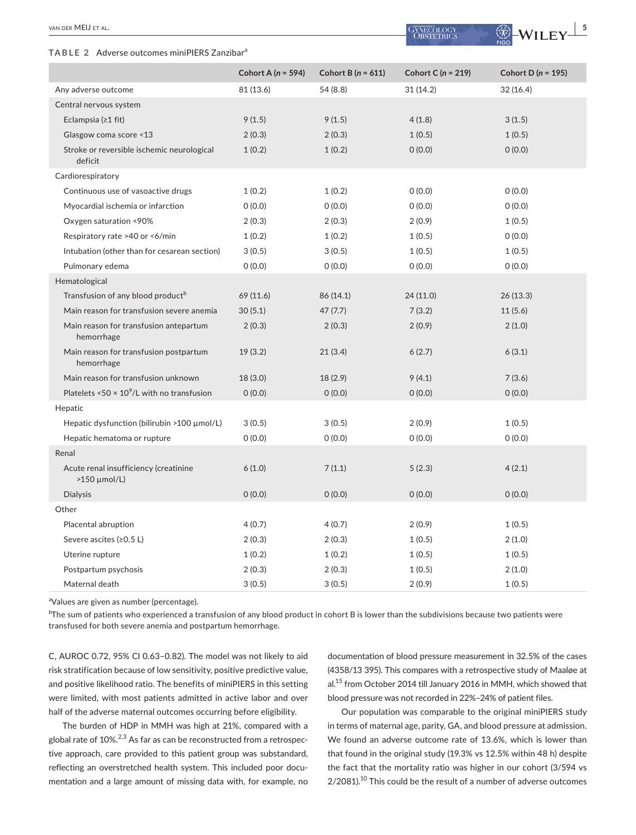#### TABLE 2 Adverse outcomes miniPIERS Zanzibar<sup>a</sup>

|                                                               | Cohort A ( $n = 594$ ) | Cohort B ( $n = 611$ ) | Cohort C ( $n = 219$ ) | Cohort D ( $n = 195$ ) |
|---------------------------------------------------------------|------------------------|------------------------|------------------------|------------------------|
| Any adverse outcome                                           | 81 (13.6)              | 54 (8.8)               | 31(14.2)               | 32 (16.4)              |
| Central nervous system                                        |                        |                        |                        |                        |
| Eclampsia $(≥1$ fit)                                          | 9(1.5)                 | 9(1.5)                 | 4(1.8)                 | 3(1.5)                 |
| Glasgow coma score <13                                        | 2(0.3)                 | 2(0.3)                 | 1(0.5)                 | 1(0.5)                 |
| Stroke or reversible ischemic neurological<br>deficit         | 1(0.2)                 | 1(0.2)                 | 0(0.0)                 | 0(0.0)                 |
| Cardiorespiratory                                             |                        |                        |                        |                        |
| Continuous use of vasoactive drugs                            | 1(0.2)                 | 1(0.2)                 | 0(0.0)                 | 0(0.0)                 |
| Myocardial ischemia or infarction                             | 0(0.0)                 | 0(0.0)                 | 0(0.0)                 | 0(0.0)                 |
| Oxygen saturation <90%                                        | 2(0.3)                 | 2(0.3)                 | 2(0.9)                 | 1(0.5)                 |
| Respiratory rate >40 or <6/min                                | 1(0.2)                 | 1(0.2)                 | 1(0.5)                 | 0(0.0)                 |
| Intubation (other than for cesarean section)                  | 3(0.5)                 | 3(0.5)                 | 1(0.5)                 | 1(0.5)                 |
| Pulmonary edema                                               | 0(0.0)                 | 0(0.0)                 | 0(0.0)                 | 0(0.0)                 |
| Hematological                                                 |                        |                        |                        |                        |
| Transfusion of any blood product <sup>b</sup>                 | 69 (11.6)              | 86 (14.1)              | 24(11.0)               | 26 (13.3)              |
| Main reason for transfusion severe anemia                     | 30(5.1)                | 47(7.7)                | 7(3.2)                 | 11(5.6)                |
| Main reason for transfusion antepartum<br>hemorrhage          | 2(0.3)                 | 2(0.3)                 | 2(0.9)                 | 2(1.0)                 |
| Main reason for transfusion postpartum<br>hemorrhage          | 19(3.2)                | 21(3.4)                | 6(2.7)                 | 6(3.1)                 |
| Main reason for transfusion unknown                           | 18 (3.0)               | 18 (2.9)               | 9(4.1)                 | 7(3.6)                 |
| Platelets <50 $\times$ 10 <sup>9</sup> /L with no transfusion | 0(0.0)                 | 0(0.0)                 | 0(0.0)                 | 0(0.0)                 |
| Hepatic                                                       |                        |                        |                        |                        |
| Hepatic dysfunction (bilirubin >100 µmol/L)                   | 3(0.5)                 | 3(0.5)                 | 2(0.9)                 | 1(0.5)                 |
| Hepatic hematoma or rupture                                   | 0(0.0)                 | 0(0.0)                 | 0(0.0)                 | 0(0.0)                 |
| Renal                                                         |                        |                        |                        |                        |
| Acute renal insufficiency (creatinine<br>$>150$ µmol/L)       | 6(1.0)                 | 7(1.1)                 | 5(2.3)                 | 4(2.1)                 |
| <b>Dialysis</b>                                               | 0(0.0)                 | 0(0.0)                 | 0(0.0)                 | 0(0.0)                 |
| Other                                                         |                        |                        |                        |                        |
| Placental abruption                                           | 4(0.7)                 | 4(0.7)                 | 2(0.9)                 | 1(0.5)                 |
| Severe ascites $(20.5 L)$                                     | 2(0.3)                 | 2(0.3)                 | 1(0.5)                 | 2(1.0)                 |
| Uterine rupture                                               | 1(0.2)                 | 1(0.2)                 | 1(0.5)                 | 1(0.5)                 |
| Postpartum psychosis                                          | 2(0.3)                 | 2(0.3)                 | 1(0.5)                 | 2(1.0)                 |
| Maternal death                                                | 3(0.5)                 | 3(0.5)                 | 2(0.9)                 | 1(0.5)                 |

<sup>a</sup>Values are given as number (percentage).

 $^{\rm b}$ The sum of patients who experienced a transfusion of any blood product in cohort B is lower than the subdivisions because two patients were transfused for both severe anemia and postpartum hemorrhage.

C, AUROC 0.72, 95% CI 0.63–0.82). The model was not likely to aid risk stratification because of low sensitivity, positive predictive value, and positive likelihood ratio. The benefits of miniPIERS in this setting were limited, with most patients admitted in active labor and over half of the adverse maternal outcomes occurring before eligibility.

The burden of HDP in MMH was high at 21%, compared with a global rate of  $10\%$ <sup>2,3</sup> As far as can be reconstructed from a retrospective approach, care provided to this patient group was substandard, reflecting an overstretched health system. This included poor documentation and a large amount of missing data with, for example, no

documentation of blood pressure measurement in 32.5% of the cases (4358/13 395). This compares with a retrospective study of Maaløe at al.<sup>15</sup> from October 2014 till January 2016 in MMH, which showed that blood pressure was not recorded in 22%–24% of patient files.

Our population was comparable to the original miniPIERS study in terms of maternal age, parity, GA, and blood pressure at admission. We found an adverse outcome rate of 13.6%, which is lower than that found in the original study (19.3% vs 12.5% within 48 h) despite the fact that the mortality ratio was higher in our cohort (3/594 vs  $2/2081$ .<sup>10</sup> This could be the result of a number of adverse outcomes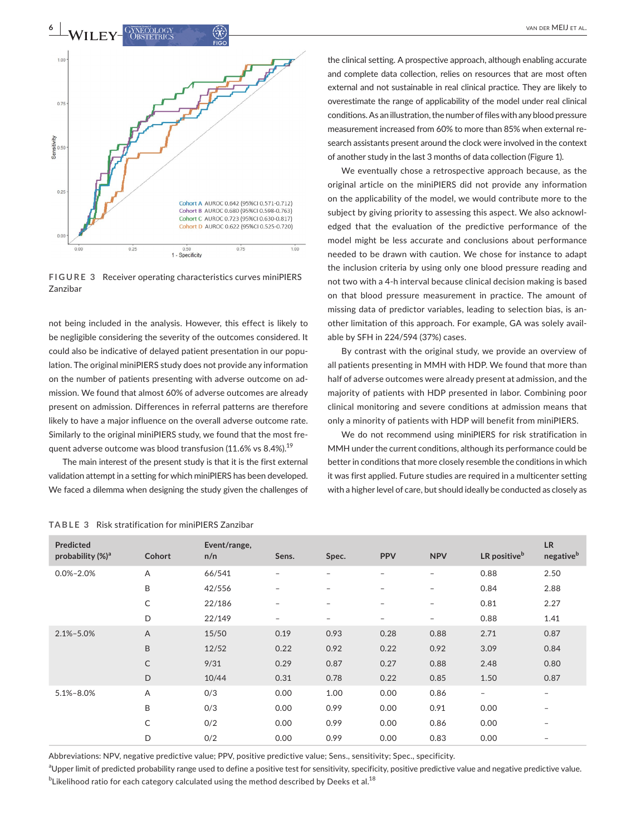

**FIGURE 3** Receiver operating characteristics curves miniPIERS Zanzibar

not being included in the analysis. However, this effect is likely to be negligible considering the severity of the outcomes considered. It could also be indicative of delayed patient presentation in our population. The original miniPIERS study does not provide any information on the number of patients presenting with adverse outcome on admission. We found that almost 60% of adverse outcomes are already present on admission. Differences in referral patterns are therefore likely to have a major influence on the overall adverse outcome rate. Similarly to the original miniPIERS study, we found that the most frequent adverse outcome was blood transfusion (11.6% vs 8.4%).<sup>19</sup>

The main interest of the present study is that it is the first external validation attempt in a setting for which miniPIERS has been developed. We faced a dilemma when designing the study given the challenges of

the clinical setting. A prospective approach, although enabling accurate and complete data collection, relies on resources that are most often external and not sustainable in real clinical practice. They are likely to overestimate the range of applicability of the model under real clinical conditions. As an illustration, the number of files with any blood pressure measurement increased from 60% to more than 85% when external research assistants present around the clock were involved in the context of another study in the last 3 months of data collection (Figure 1).

We eventually chose a retrospective approach because, as the original article on the miniPIERS did not provide any information on the applicability of the model, we would contribute more to the subject by giving priority to assessing this aspect. We also acknowledged that the evaluation of the predictive performance of the model might be less accurate and conclusions about performance needed to be drawn with caution. We chose for instance to adapt the inclusion criteria by using only one blood pressure reading and not two with a 4-h interval because clinical decision making is based on that blood pressure measurement in practice. The amount of missing data of predictor variables, leading to selection bias, is another limitation of this approach. For example, GA was solely available by SFH in 224/594 (37%) cases.

By contrast with the original study, we provide an overview of all patients presenting in MMH with HDP. We found that more than half of adverse outcomes were already present at admission, and the majority of patients with HDP presented in labor. Combining poor clinical monitoring and severe conditions at admission means that only a minority of patients with HDP will benefit from miniPIERS.

We do not recommend using miniPIERS for risk stratification in MMH under the current conditions, although its performance could be better in conditions that more closely resemble the conditions in which it was first applied. Future studies are required in a multicenter setting with a higher level of care, but should ideally be conducted as closely as

| Predicted<br>probability $(\%)^a$ | Cohort         | Event/range,<br>n/n | Sens.                    | Spec.                    | <b>PPV</b>               | <b>NPV</b>               | LR positive <sup>b</sup> | <b>LR</b><br>negative <sup>b</sup> |
|-----------------------------------|----------------|---------------------|--------------------------|--------------------------|--------------------------|--------------------------|--------------------------|------------------------------------|
| $0.0\% - 2.0\%$                   | Α              | 66/541              | -                        | -                        | -                        | $\overline{\phantom{0}}$ | 0.88                     | 2.50                               |
|                                   | B              | 42/556              | -                        | -                        | -                        | $\overline{\phantom{m}}$ | 0.84                     | 2.88                               |
|                                   | C              | 22/186              | $\overline{\phantom{a}}$ | $\overline{\phantom{0}}$ | $\overline{\phantom{a}}$ | $\overline{\phantom{a}}$ | 0.81                     | 2.27                               |
|                                   | D              | 22/149              | -                        | -                        | $\overline{\phantom{a}}$ | $\overline{\phantom{a}}$ | 0.88                     | 1.41                               |
| $2.1\% - 5.0\%$                   | $\overline{A}$ | 15/50               | 0.19                     | 0.93                     | 0.28                     | 0.88                     | 2.71                     | 0.87                               |
|                                   | B              | 12/52               | 0.22                     | 0.92                     | 0.22                     | 0.92                     | 3.09                     | 0.84                               |
|                                   | C              | 9/31                | 0.29                     | 0.87                     | 0.27                     | 0.88                     | 2.48                     | 0.80                               |
|                                   | D              | 10/44               | 0.31                     | 0.78                     | 0.22                     | 0.85                     | 1.50                     | 0.87                               |
| $5.1\% - 8.0\%$                   | A              | 0/3                 | 0.00                     | 1.00                     | 0.00                     | 0.86                     | $\overline{\phantom{a}}$ | $\overline{\phantom{a}}$           |
|                                   | B              | 0/3                 | 0.00                     | 0.99                     | 0.00                     | 0.91                     | 0.00                     | $\overline{\phantom{0}}$           |
|                                   | C              | 0/2                 | 0.00                     | 0.99                     | 0.00                     | 0.86                     | 0.00                     | -                                  |
|                                   | D              | 0/2                 | 0.00                     | 0.99                     | 0.00                     | 0.83                     | 0.00                     | -                                  |

**TABLE 3** Risk stratification for miniPIERS Zanzibar

Abbreviations: NPV, negative predictive value; PPV, positive predictive value; Sens., sensitivity; Spec., specificity.

<sup>a</sup>Upper limit of predicted probability range used to define a positive test for sensitivity, specificity, positive predictive value and negative predictive value.  $^{\rm b}$ Likelihood ratio for each category calculated using the method described by Deeks et al. $^{18}$